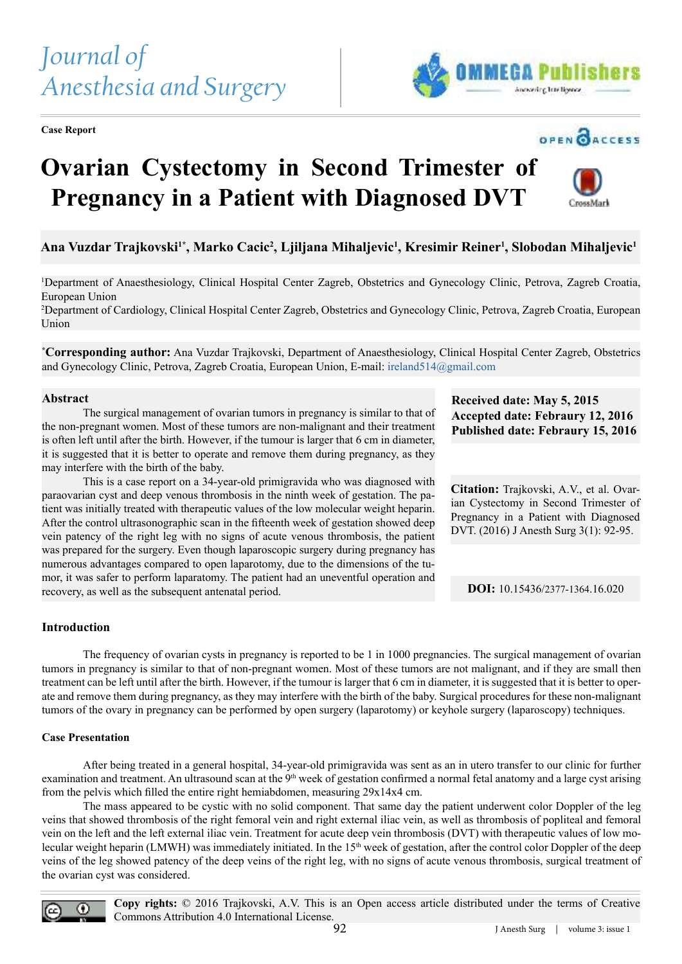# *Journal of Anesthesia and Surgery*

**Case Report**



# OPEN CACCESS

**CrossMark** 

# **Ovarian Cystectomy in Second Trimester of Pregnancy in a Patient with Diagnosed DVT**



<sup>1</sup>Department of Anaesthesiology, Clinical Hospital Center Zagreb, Obstetrics and Gynecology Clinic, Petrova, Zagreb Croatia, European Union

<sup>2</sup>Department of Cardiology, Clinical Hospital Center Zagreb, Obstetrics and Gynecology Clinic, Petrova, Zagreb Croatia, European Union

**\*Corresponding author:** Ana Vuzdar Trajkovski, Department of Anaesthesiology, Clinical Hospital Center Zagreb, Obstetrics and Gynecology Clinic, Petrova, Zagreb Croatia, European Union, E-mail: ireland514@gmail.com

### **Abstract**

 The surgical management of ovarian tumors in pregnancy is similar to that of the non-pregnant women. Most of these tumors are non-malignant and their treatment is often left until after the birth. However, if the tumour is larger that 6 cm in diameter, it is suggested that it is better to operate and remove them during pregnancy, as they may interfere with the birth of the baby.

 This is a case report on a 34-year-old primigravida who was diagnosed with paraovarian cyst and deep venous thrombosis in the ninth week of gestation. The patient was initially treated with therapeutic values of the low molecular weight heparin. After the control ultrasonographic scan in the ifteenth week of gestation showed deep vein patency of the right leg with no signs of acute venous thrombosis, the patient was prepared for the surgery. Even though laparoscopic surgery during pregnancy has numerous advantages compared to open laparotomy, due to the dimensions of the tumor, it was safer to perform laparatomy. The patient had an uneventful operation and recovery, as well as the subsequent antenatal period.

**Received date: May 5, 2015 Accepted date: Febraury 12, 2016 Published date: Febraury 15, 2016**

**Citation:** Trajkovski, A.V., et al. Ovarian Cystectomy in Second Trimester of Pregnancy in a Patient with Diagnosed DVT. (2016) J Anesth Surg 3(1): 92-95.

**DOI:** 10.15436/2377-1364.16.020

# **Introduction**

 The frequency of ovarian cysts in pregnancy is reported to be 1 in 1000 pregnancies. The surgical management of ovarian tumors in pregnancy is similar to that of non-pregnant women. Most of these tumors are not malignant, and if they are small then treatment can be left until after the birth. However, if the tumour is larger that 6 cm in diameter, it is suggested that it is better to operate and remove them during pregnancy, as they may interfere with the birth of the baby. Surgical procedures for these non-malignant tumors of the ovary in pregnancy can be performed by open surgery (laparotomy) or keyhole surgery (laparoscopy) techniques.

#### **Case Presentation**

 After being treated in a general hospital, 34-year-old primigravida was sent as an in utero transfer to our clinic for further examination and treatment. An ultrasound scan at the 9<sup>th</sup> week of gestation confirmed a normal fetal anatomy and a large cyst arising from the pelvis which illed the entire right hemiabdomen, measuring 29x14x4 cm.

 The mass appeared to be cystic with no solid component. That same day the patient underwent color Doppler of the leg veins that showed thrombosis of the right femoral vein and right external iliac vein, as well as thrombosis of popliteal and femoral vein on the left and the left external iliac vein. Treatment for acute deep vein thrombosis (DVT) with therapeutic values of low molecular weight heparin (LMWH) was immediately initiated. In the 15<sup>th</sup> week of gestation, after the control color Doppler of the deep veins of the leg showed patency of the deep veins of the right leg, with no signs of acute venous thrombosis, surgical treatment of the ovarian cyst was considered.



**Copy rights:** © 2016 Trajkovski, A.V. This is an Open access article distributed under the terms of Creative Commons Attribution 4.0 International License.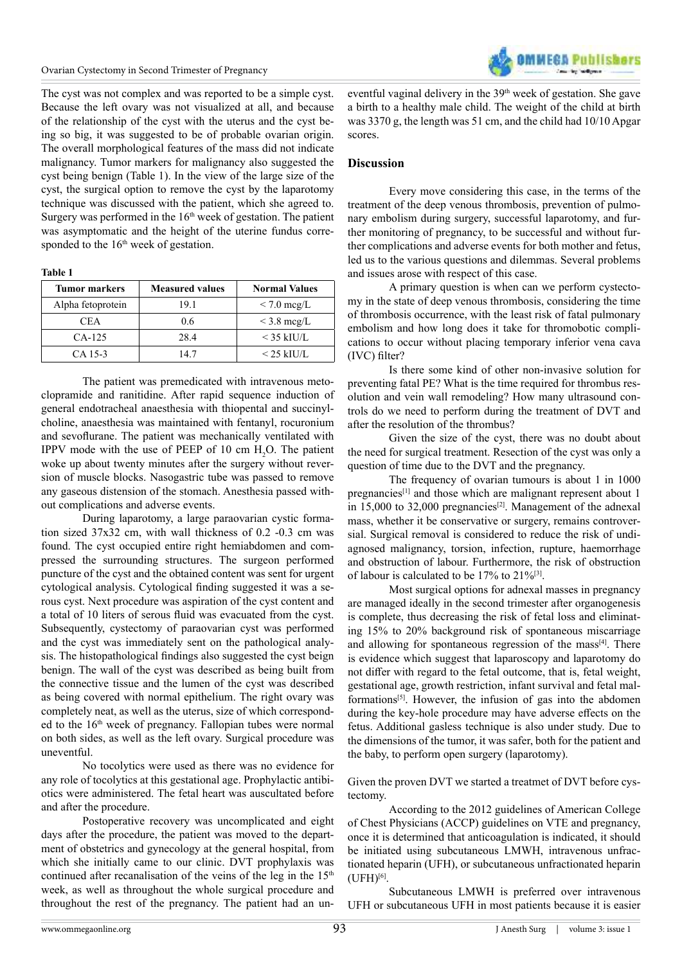The cyst was not complex and was reported to be a simple cyst. Because the left ovary was not visualized at all, and because of the relationship of the cyst with the uterus and the cyst being so big, it was suggested to be of probable ovarian origin. The overall morphological features of the mass did not indicate malignancy. Tumor markers for malignancy also suggested the cyst being benign (Table 1). In the view of the large size of the cyst, the surgical option to remove the cyst by the laparotomy technique was discussed with the patient, which she agreed to. Surgery was performed in the  $16<sup>th</sup>$  week of gestation. The patient was asymptomatic and the height of the uterine fundus corresponded to the  $16<sup>th</sup>$  week of gestation.

**Table 1**

| <b>Tumor markers</b> | <b>Measured values</b> | <b>Normal Values</b> |
|----------------------|------------------------|----------------------|
| Alpha fetoprotein    | 19.1                   | $\rm < 7.0~mag/L$    |
| CEA.                 | 0.6                    | $\leq$ 3.8 mcg/L     |
| $CA-125$             | 28.4                   | $<$ 35 kIU/L         |
| CA 15-3              | 14.7                   | $<$ 25 kIU/L         |

 The patient was premedicated with intravenous metoclopramide and ranitidine. After rapid sequence induction of general endotracheal anaesthesia with thiopental and succinylcholine, anaesthesia was maintained with fentanyl, rocuronium and sevoflurane. The patient was mechanically ventilated with IPPV mode with the use of PEEP of  $10 \text{ cm H}_2$ O. The patient woke up about twenty minutes after the surgery without reversion of muscle blocks. Nasogastric tube was passed to remove any gaseous distension of the stomach. Anesthesia passed without complications and adverse events.

 During laparotomy, a large paraovarian cystic formation sized 37x32 cm, with wall thickness of 0.2 -0.3 cm was found. The cyst occupied entire right hemiabdomen and compressed the surrounding structures. The surgeon performed puncture of the cyst and the obtained content was sent for urgent cytological analysis. Cytological finding suggested it was a serous cyst. Next procedure was aspiration of the cyst content and a total of 10 liters of serous fluid was evacuated from the cyst. Subsequently, cystectomy of paraovarian cyst was performed and the cyst was immediately sent on the pathological analysis. The histopathological findings also suggested the cyst beign benign. The wall of the cyst was described as being built from the connective tissue and the lumen of the cyst was described as being covered with normal epithelium. The right ovary was completely neat, as well as the uterus, size of which corresponded to the 16<sup>th</sup> week of pregnancy. Fallopian tubes were normal on both sides, as well as the left ovary. Surgical procedure was uneventful.

 No tocolytics were used as there was no evidence for any role of tocolytics at this gestational age. Prophylactic antibiotics were administered. The fetal heart was auscultated before and after the procedure.

 Postoperative recovery was uncomplicated and eight days after the procedure, the patient was moved to the department of obstetrics and gynecology at the general hospital, from which she initially came to our clinic. DVT prophylaxis was continued after recanalisation of the veins of the leg in the  $15<sup>th</sup>$ week, as well as throughout the whole surgical procedure and throughout the rest of the pregnancy. The patient had an un-



eventful vaginal delivery in the  $39<sup>th</sup>$  week of gestation. She gave a birth to a healthy male child. The weight of the child at birth was 3370 g, the length was 51 cm, and the child had 10/10 Apgar scores.

#### **Discussion**

 Every move considering this case, in the terms of the treatment of the deep venous thrombosis, prevention of pulmonary embolism during surgery, successful laparotomy, and further monitoring of pregnancy, to be successful and without further complications and adverse events for both mother and fetus, led us to the various questions and dilemmas. Several problems and issues arose with respect of this case.

 A primary question is when can we perform cystectomy in the state of deep venous thrombosis, considering the time of thrombosis occurrence, with the least risk of fatal pulmonary embolism and how long does it take for thromobotic complications to occur without placing temporary inferior vena cava  $(IVC)$  filter?

 Is there some kind of other non-invasive solution for preventing fatal PE? What is the time required for thrombus resolution and vein wall remodeling? How many ultrasound controls do we need to perform during the treatment of DVT and after the resolution of the thrombus?

 Given the size of the cyst, there was no doubt about the need for surgical treatment. Resection of the cyst was only a question of time due to the DVT and the pregnancy.

 The frequency of ovarian tumours is about 1 in 1000 pregnancies<sup>[\[1\]](#page-2-0)</sup> and those which are malignant represent about 1 in 15,000 to 32,000 pregnancies<sup>[\[2\]](#page-2-1)</sup>. Management of the adnexal mass, whether it be conservative or surgery, remains controversial. Surgical removal is considered to reduce the risk of undiagnosed malignancy, torsion, infection, rupture, haemorrhage and obstruction of labour. Furthermore, the risk of obstruction of labour is calculated to be 17% to 21%[\[3\]](#page-2-2) .

 Most surgical options for adnexal masses in pregnancy are managed ideally in the second trimester after organogenesis is complete, thus decreasing the risk of fetal loss and eliminating 15% to 20% background risk of spontaneous miscarriage and allowing for spontaneous regression of the mass<sup>[\[4\]](#page-2-3)</sup>. There is evidence which suggest that laparoscopy and laparotomy do not difer with regard to the fetal outcome, that is, fetal weight, gestational age, growth restriction, infant survival and fetal malformations[5]. However, the infusion of gas into the abdomen during the key-hole procedure may have adverse efects on the fetus. Additional gasless technique is also under study. Due to the dimensions of the tumor, it was safer, both for the patient and the baby, to perform open surgery (laparotomy).

Given the proven DVT we started a treatmet of DVT before cystectomy.

 According to the 2012 guidelines of American College of Chest Physicians (ACCP) guidelines on VTE and pregnancy, once it is determined that anticoagulation is indicated, it should be initiated using subcutaneous LMWH, intravenous unfractionated heparin (UFH), or subcutaneous unfractionated heparin  $($ UFH $)$ <sup>[\[6\]](#page-2-4)</sup>.

 Subcutaneous LMWH is preferred over intravenous UFH or subcutaneous UFH in most patients because it is easier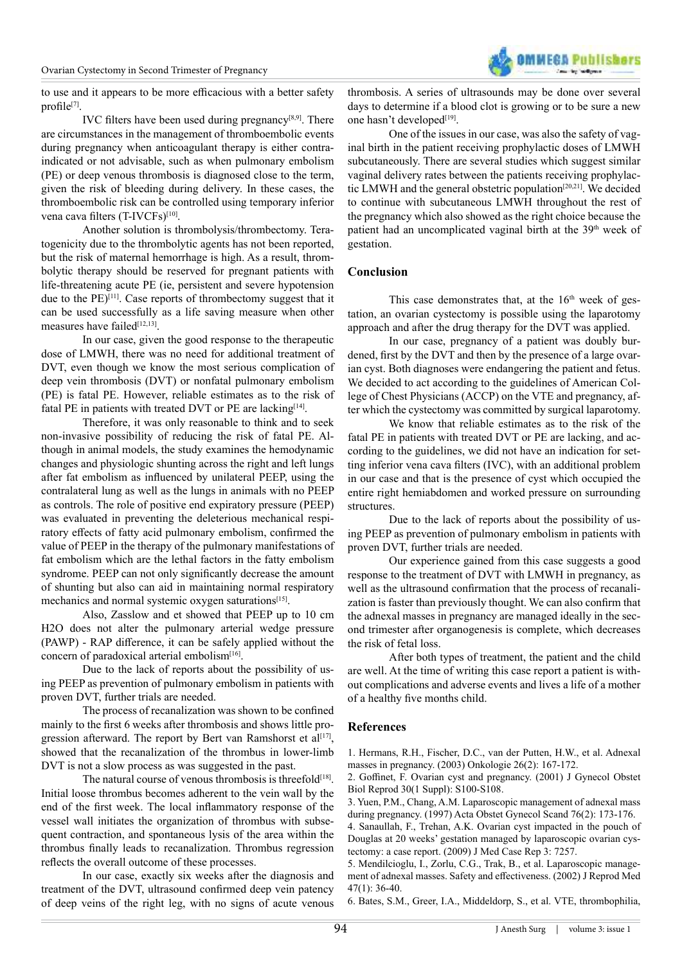to use and it appears to be more efficacious with a better safety profile<sup>[\[7\]](#page-3-0)</sup>.

IVC filters have been used during pregnancy $[8,9]$ . There are circumstances in the management of thromboembolic events during pregnancy when anticoagulant therapy is either contraindicated or not advisable, such as when pulmonary embolism (PE) or deep venous thrombosis is diagnosed close to the term, given the risk of bleeding during delivery. In these cases, the thromboembolic risk can be controlled using temporary inferior vena cava filters (T-IVCFs)<sup>[\[10\]](#page-3-2)</sup>.

 Another solution is thrombolysis/thrombectomy. Teratogenicity due to the thrombolytic agents has not been reported, but the risk of maternal hemorrhage is high. As a result, thrombolytic therapy should be reserved for pregnant patients with life-threatening acute PE (ie, persistent and severe hypotension due to the PE)<sup>[\[11\]](#page-3-3)</sup>. Case reports of thrombectomy suggest that it can be used successfully as a life saving measure when other measures have failed<sup>[\[12,13\]](#page-3-4)</sup>.

 In our case, given the good response to the therapeutic dose of LMWH, there was no need for additional treatment of DVT, even though we know the most serious complication of deep vein thrombosis (DVT) or nonfatal pulmonary embolism (PE) is fatal PE. However, reliable estimates as to the risk of fatal PE in patients with treated DVT or PE are lacking $[14]$ .

 Therefore, it was only reasonable to think and to seek non-invasive possibility of reducing the risk of fatal PE. Although in animal models, the study examines the hemodynamic changes and physiologic shunting across the right and left lungs after fat embolism as inluenced by unilateral PEEP, using the contralateral lung as well as the lungs in animals with no PEEP as controls. The role of positive end expiratory pressure (PEEP) was evaluated in preventing the deleterious mechanical respiratory effects of fatty acid pulmonary embolism, confirmed the value of PEEP in the therapy of the pulmonary manifestations of fat embolism which are the lethal factors in the fatty embolism syndrome. PEEP can not only significantly decrease the amount of shunting but also can aid in maintaining normal respiratory mechanics and normal systemic oxygen saturations<sup>[\[15\]](#page-3-6)</sup>.

 Also, Zasslow and et showed that PEEP up to 10 cm H2O does not alter the pulmonary arterial wedge pressure (PAWP) - RAP diference, it can be safely applied without the concern of paradoxical arterial embolism<sup>[\[16\]](#page-3-7)</sup>.

 Due to the lack of reports about the possibility of using PEEP as prevention of pulmonary embolism in patients with proven DVT, further trials are needed.

The process of recanalization was shown to be confined mainly to the irst 6 weeks after thrombosis and shows little pro-gression afterward. The report by Bert van Ramshorst et al<sup>[\[17\]](#page-3-8)</sup>, showed that the recanalization of the thrombus in lower-limb DVT is not a slow process as was suggested in the past.

The natural course of venous thrombosis is threefold $[18]$ . Initial loose thrombus becomes adherent to the vein wall by the end of the first week. The local inflammatory response of the vessel wall initiates the organization of thrombus with subsequent contraction, and spontaneous lysis of the area within the thrombus finally leads to recanalization. Thrombus regression reflects the overall outcome of these processes.

 In our case, exactly six weeks after the diagnosis and treatment of the DVT, ultrasound confirmed deep vein patency of deep veins of the right leg, with no signs of acute venous thrombosis. A series of ultrasounds may be done over several days to determine if a blood clot is growing or to be sure a new one hasn't developed<sup>[\[19\]](#page-3-10)</sup>.

 One of the issues in our case, was also the safety of vaginal birth in the patient receiving prophylactic doses of LMWH subcutaneously. There are several studies which suggest similar vaginal delivery rates between the patients receiving prophylactic LMWH and the general obstetric population[\[20,21\]](#page-3-11). We decided to continue with subcutaneous LMWH throughout the rest of the pregnancy which also showed as the right choice because the patient had an uncomplicated vaginal birth at the 39<sup>th</sup> week of gestation.

# **Conclusion**

This case demonstrates that, at the  $16<sup>th</sup>$  week of gestation, an ovarian cystectomy is possible using the laparotomy approach and after the drug therapy for the DVT was applied.

 In our case, pregnancy of a patient was doubly burdened, first by the DVT and then by the presence of a large ovarian cyst. Both diagnoses were endangering the patient and fetus. We decided to act according to the guidelines of American College of Chest Physicians (ACCP) on the VTE and pregnancy, after which the cystectomy was committed by surgical laparotomy.

 We know that reliable estimates as to the risk of the fatal PE in patients with treated DVT or PE are lacking, and according to the guidelines, we did not have an indication for setting inferior vena cava filters (IVC), with an additional problem in our case and that is the presence of cyst which occupied the entire right hemiabdomen and worked pressure on surrounding structures.

 Due to the lack of reports about the possibility of using PEEP as prevention of pulmonary embolism in patients with proven DVT, further trials are needed.

 Our experience gained from this case suggests a good response to the treatment of DVT with LMWH in pregnancy, as well as the ultrasound confirmation that the process of recanalization is faster than previously thought. We can also confirm that the adnexal masses in pregnancy are managed ideally in the second trimester after organogenesis is complete, which decreases the risk of fetal loss.

 After both types of treatment, the patient and the child are well. At the time of writing this case report a patient is without complications and adverse events and lives a life of a mother of a healthy five months child.

# **References**

<span id="page-2-0"></span>[1. Hermans, R.H., Fischer, D.C., van der Putten, H.W., et al. Adnexal](http://www.ncbi.nlm.nih.gov/pubmed/12771526) [masses in pregnancy. \(2003\) Onkologie 26\(2\): 167-172.](http://www.ncbi.nlm.nih.gov/pubmed/12771526)

<span id="page-2-1"></span>2. Goffinet, F. Ovarian cyst and pregnancy. (2001) J Gynecol Obstet [Biol Reprod 30\(1 Suppl\): S100-S108.](http://www.ncbi.nlm.nih.gov/pubmed/11917371)

<span id="page-2-2"></span>[3. Yuen, P.M., Chang, A.M. Laparoscopic management of adnexal mass](http://www.ncbi.nlm.nih.gov/pubmed/9049293) [during pregnancy. \(1997\) Acta Obstet Gynecol Scand 76\(2\): 173-176.](http://www.ncbi.nlm.nih.gov/pubmed/9049293)

<span id="page-2-3"></span>[4. Sanaullah, F., Trehan, A.K. Ovarian cyst impacted in the pouch of](http://www.ncbi.nlm.nih.gov/pubmed/19830152) [Douglas at 20 weeks' gestation managed by laparoscopic ovarian cys](http://www.ncbi.nlm.nih.gov/pubmed/19830152)[tectomy: a case report. \(2009\) J Med Case Rep 3: 7257.](http://www.ncbi.nlm.nih.gov/pubmed/19830152)

[5. Mendilcioglu, I., Zorlu, C.G., Trak, B., et al. Laparoscopic manage](http://www.ncbi.nlm.nih.gov/pubmed/11838308)[ment of adnexal masses. Safety and efectiveness. \(2002\) J Reprod Med](http://www.ncbi.nlm.nih.gov/pubmed/11838308) [47\(1\): 36-40.](http://www.ncbi.nlm.nih.gov/pubmed/11838308)

<span id="page-2-4"></span>[6. Bates, S.M., Greer, I.A., Middeldorp, S., et al. VTE, thrombophilia,](http://www.ncbi.nlm.nih.gov/pubmed/22315276)